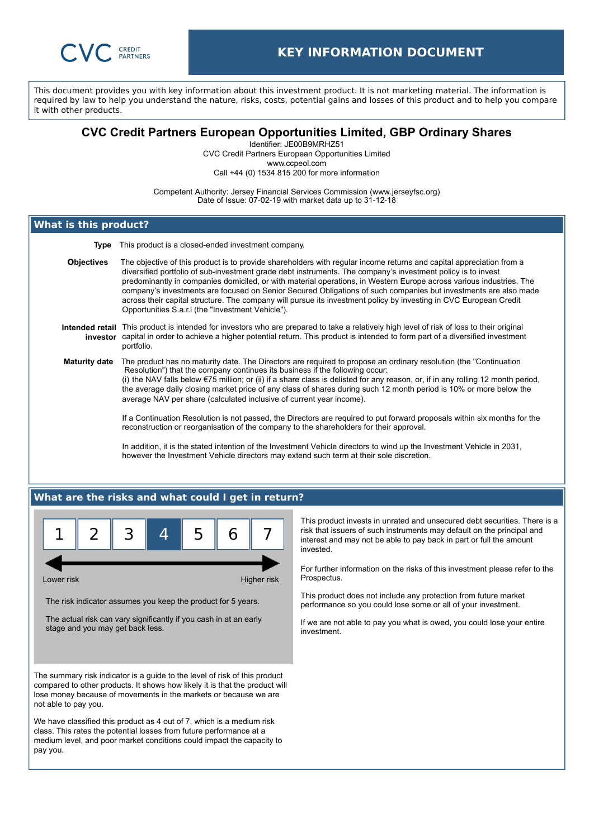

This document provides you with key information about this investment product. It is not marketing material. The information is required by law to help you understand the nature, risks, costs, potential gains and losses of this product and to help you compare it with other products.

## **CVC Credit Partners European Opportunities Limited, GBP Ordinary Shares**

Identifier: JE00B9MRHZ51

CVC Credit Partners European Opportunities Limited www.ccpeol.com

Call +44 (0) 1534 815 200 for more information

Competent Authority: Jersey Financial Services Commission (www.jerseyfsc.org) Date of Issue: 07-02-19 with market data up to 31-12-18

# **What is this product?**

**Type** This product is a closed-ended investment company.

**Objectives** The objective of this product is to provide shareholders with regular income returns and capital appreciation from a diversified portfolio of sub-investment grade debt instruments. The company's investment policy is to invest predominantly in companies domiciled, or with material operations, in Western Europe across various industries. The company's investments are focused on Senior Secured Obligations of such companies but investments are also made across their capital structure. The company will pursue its investment policy by investing in CVC European Credit Opportunities S.a.r.l (the "Investment Vehicle").

#### **Intended retail** This product is intended for investors who are prepared to take a relatively high level of risk of loss to their original **investor** capital in order to achieve a higher potential return. This product is intended to form part of a diversified investment portfolio.

**Maturity date** The product has no maturity date. The Directors are required to propose an ordinary resolution (the "Continuation Resolution") that the company continues its business if the following occur: (i) the NAV falls below €75 million; or (ii) if a share class is delisted for any reason, or, if in any rolling 12 month period, the average daily closing market price of any class of shares during such 12 month period is 10% or more below the average NAV per share (calculated inclusive of current year income).

> If a Continuation Resolution is not passed, the Directors are required to put forward proposals within six months for the reconstruction or reorganisation of the company to the shareholders for their approval.

In addition, it is the stated intention of the Investment Vehicle directors to wind up the Investment Vehicle in 2031, however the Investment Vehicle directors may extend such term at their sole discretion.

## **What are the risks and what could I get in return?**



Lower risk **Higher risk** Higher risk **Higher risk** 

The risk indicator assumes you keep the product for 5 years.

The actual risk can vary significantly if you cash in at an early stage and you may get back less.

The summary risk indicator is a guide to the level of risk of this product compared to other products. It shows how likely it is that the product will lose money because of movements in the markets or because we are not able to pay you.

We have classified this product as 4 out of 7, which is a medium risk class. This rates the potential losses from future performance at a medium level, and poor market conditions could impact the capacity to pay you.

This product invests in unrated and unsecured debt securities. There is a risk that issuers of such instruments may default on the principal and interest and may not be able to pay back in part or full the amount invested.

For further information on the risks of this investment please refer to the Prospectus.

This product does not include any protection from future market performance so you could lose some or all of your investment.

If we are not able to pay you what is owed, you could lose your entire investment.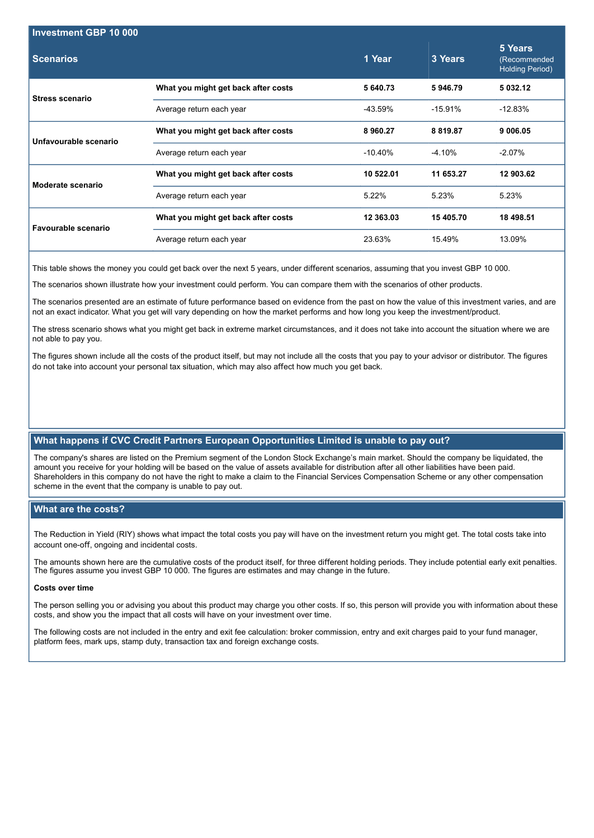| Investment GBP 10 000  |                                     |            |           |                                                   |
|------------------------|-------------------------------------|------------|-----------|---------------------------------------------------|
| <b>Scenarios</b>       |                                     | 1 Year     | 3 Years   | 5 Years<br>(Recommended<br><b>Holding Period)</b> |
| <b>Stress scenario</b> | What you might get back after costs | 5 640.73   | 5946.79   | 5 032.12                                          |
|                        | Average return each year            | -43.59%    | $-15.91%$ | $-12.83%$                                         |
| Unfavourable scenario  | What you might get back after costs | 8 960.27   | 8 8 19.87 | 9 006 05                                          |
|                        | Average return each year            | $-10.40\%$ | $-4.10%$  | $-2.07\%$                                         |
| Moderate scenario      | What you might get back after costs | 10 522.01  | 11 653.27 | 12 903.62                                         |
|                        | Average return each year            | 5.22%      | 5.23%     | 5.23%                                             |
| Favourable scenario    | What you might get back after costs | 12 363.03  | 15 405.70 | 18 498.51                                         |
|                        | Average return each year            | 23.63%     | 15.49%    | 13.09%                                            |

This table shows the money you could get back over the next 5 years, under different scenarios, assuming that you invest GBP 10 000.

The scenarios shown illustrate how your investment could perform. You can compare them with the scenarios of other products.

The scenarios presented are an estimate of future performance based on evidence from the past on how the value of this investment varies, and are not an exact indicator. What you get will vary depending on how the market performs and how long you keep the investment/product.

The stress scenario shows what you might get back in extreme market circumstances, and it does not take into account the situation where we are not able to pay you.

The figures shown include all the costs of the product itself, but may not include all the costs that you pay to your advisor or distributor. The figures do not take into account your personal tax situation, which may also affect how much you get back.

## **What happens if CVC Credit Partners European Opportunities Limited is unable to pay out?**

The company's shares are listed on the Premium segment of the London Stock Exchange's main market. Should the company be liquidated, the amount you receive for your holding will be based on the value of assets available for distribution after all other liabilities have been paid. Shareholders in this company do not have the right to make a claim to the Financial Services Compensation Scheme or any other compensation scheme in the event that the company is unable to pay out.

### **What are the costs?**

The Reduction in Yield (RIY) shows what impact the total costs you pay will have on the investment return you might get. The total costs take into account one-off, ongoing and incidental costs.

The amounts shown here are the cumulative costs of the product itself, for three different holding periods. They include potential early exit penalties. The figures assume you invest GBP 10 000. The figures are estimates and may change in the future.

#### **Costs over time**

The person selling you or advising you about this product may charge you other costs. If so, this person will provide you with information about these costs, and show you the impact that all costs will have on your investment over time.

The following costs are not included in the entry and exit fee calculation: broker commission, entry and exit charges paid to your fund manager, platform fees, mark ups, stamp duty, transaction tax and foreign exchange costs.